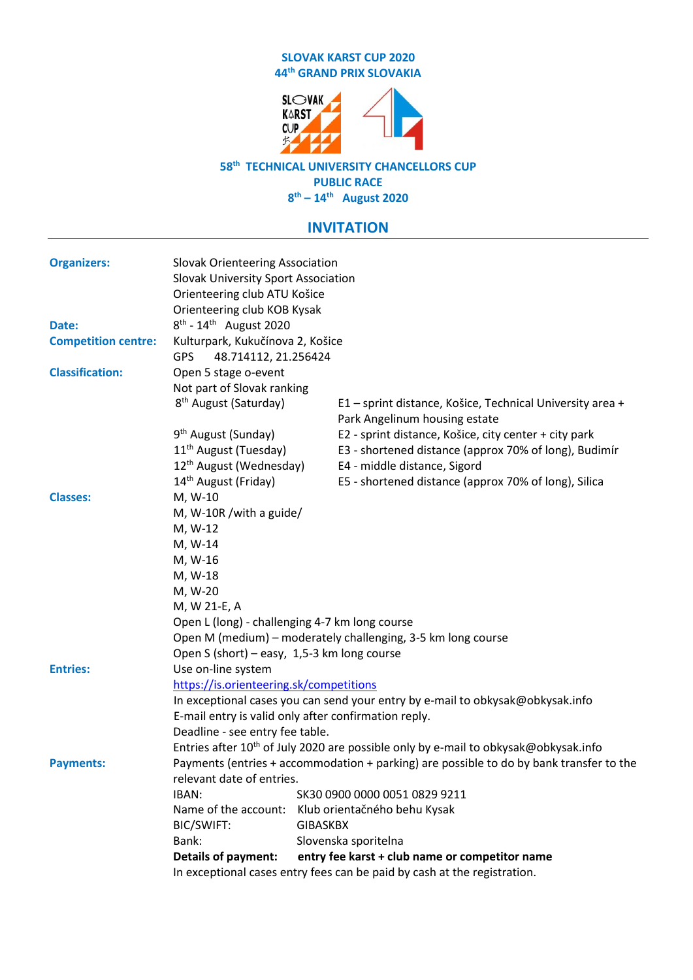## **SLOVAK KARST CUP 2020 44 th GRAND PRIX SLOVAKIA**



## **58 th TECHNICAL UNIVERSITY CHANCELLORS CUP PUBLIC RACE**

**8 th – 14 th August 2020**

## **INVITATION**

| <b>Organizers:</b>         | <b>Slovak Orienteering Association</b><br>Slovak University Sport Association                   |                 |                                                                                            |  |  |
|----------------------------|-------------------------------------------------------------------------------------------------|-----------------|--------------------------------------------------------------------------------------------|--|--|
|                            | Orienteering club ATU Košice                                                                    |                 |                                                                                            |  |  |
|                            | Orienteering club KOB Kysak                                                                     |                 |                                                                                            |  |  |
| Date:                      | $8^{th}$ - 14 <sup>th</sup> August 2020                                                         |                 |                                                                                            |  |  |
| <b>Competition centre:</b> | Kulturpark, Kukučínova 2, Košice<br><b>GPS</b><br>48.714112, 21.256424                          |                 |                                                                                            |  |  |
| <b>Classification:</b>     | Open 5 stage o-event                                                                            |                 |                                                                                            |  |  |
|                            | Not part of Slovak ranking                                                                      |                 |                                                                                            |  |  |
|                            | 8 <sup>th</sup> August (Saturday)                                                               |                 | E1 - sprint distance, Košice, Technical University area +<br>Park Angelinum housing estate |  |  |
|                            | 9 <sup>th</sup> August (Sunday)                                                                 |                 | E2 - sprint distance, Košice, city center + city park                                      |  |  |
|                            | 11 <sup>th</sup> August (Tuesday)                                                               |                 | E3 - shortened distance (approx 70% of long), Budimír                                      |  |  |
|                            | 12 <sup>th</sup> August (Wednesday)                                                             |                 | E4 - middle distance, Sigord                                                               |  |  |
|                            | 14 <sup>th</sup> August (Friday)                                                                |                 | E5 - shortened distance (approx 70% of long), Silica                                       |  |  |
| <b>Classes:</b>            | M, W-10                                                                                         |                 |                                                                                            |  |  |
|                            | M, W-10R / with a guide/                                                                        |                 |                                                                                            |  |  |
|                            | M, W-12                                                                                         |                 |                                                                                            |  |  |
|                            | M, W-14                                                                                         |                 |                                                                                            |  |  |
|                            | M, W-16                                                                                         |                 |                                                                                            |  |  |
|                            | M, W-18                                                                                         |                 |                                                                                            |  |  |
|                            | M, W-20                                                                                         |                 |                                                                                            |  |  |
|                            | M, W 21-E, A                                                                                    |                 |                                                                                            |  |  |
|                            | Open L (long) - challenging 4-7 km long course                                                  |                 |                                                                                            |  |  |
|                            | Open M (medium) - moderately challenging, 3-5 km long course                                    |                 |                                                                                            |  |  |
|                            | Open S (short) – easy, 1,5-3 km long course                                                     |                 |                                                                                            |  |  |
| <b>Entries:</b>            | Use on-line system                                                                              |                 |                                                                                            |  |  |
|                            | https://is.orienteering.sk/competitions                                                         |                 |                                                                                            |  |  |
|                            | In exceptional cases you can send your entry by e-mail to obkysak@obkysak.info                  |                 |                                                                                            |  |  |
|                            | E-mail entry is valid only after confirmation reply.                                            |                 |                                                                                            |  |  |
|                            | Deadline - see entry fee table.                                                                 |                 |                                                                                            |  |  |
|                            | Entries after 10 <sup>th</sup> of July 2020 are possible only by e-mail to obkysak@obkysak.info |                 |                                                                                            |  |  |
| <b>Payments:</b>           | Payments (entries + accommodation + parking) are possible to do by bank transfer to the         |                 |                                                                                            |  |  |
|                            | relevant date of entries.                                                                       |                 |                                                                                            |  |  |
|                            | IBAN:                                                                                           |                 | SK30 0900 0000 0051 0829 9211                                                              |  |  |
|                            | Name of the account:                                                                            |                 | Klub orientačného behu Kysak                                                               |  |  |
|                            | BIC/SWIFT:                                                                                      | <b>GIBASKBX</b> |                                                                                            |  |  |
|                            | Bank:                                                                                           |                 | Slovenska sporitelna                                                                       |  |  |
|                            | <b>Details of payment:</b>                                                                      |                 | entry fee karst + club name or competitor name                                             |  |  |
|                            | In exceptional cases entry fees can be paid by cash at the registration.                        |                 |                                                                                            |  |  |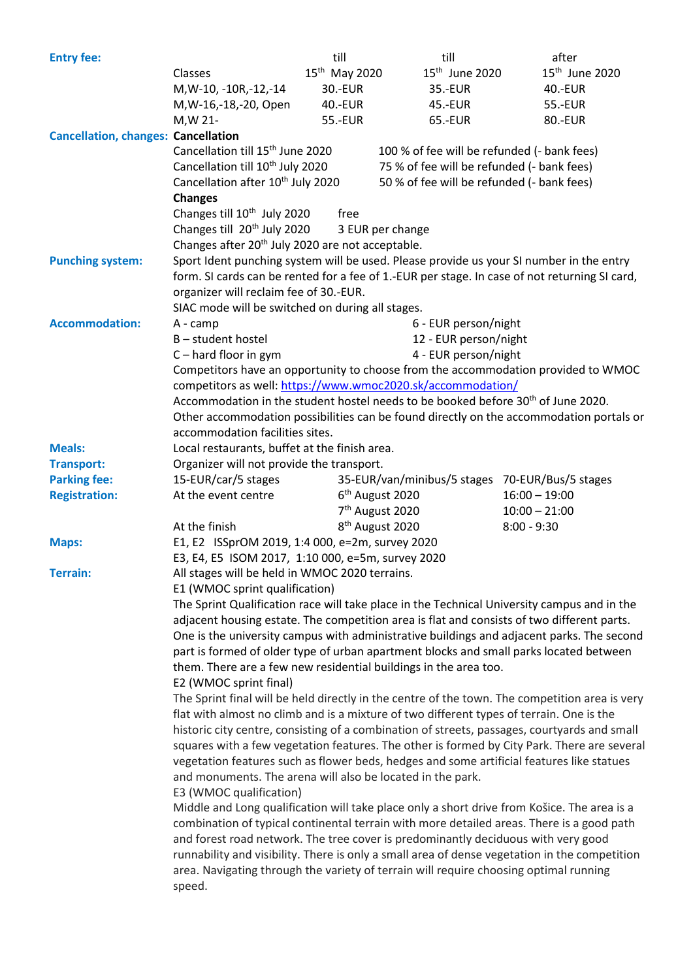| <b>Entry fee:</b>                          |                                                                                                                                                                                                                                                                                                                                                                                                                                                                                                                                                                                                                                                                                                                                                                     | till                            | till                                            | after                                                                                         |  |  |
|--------------------------------------------|---------------------------------------------------------------------------------------------------------------------------------------------------------------------------------------------------------------------------------------------------------------------------------------------------------------------------------------------------------------------------------------------------------------------------------------------------------------------------------------------------------------------------------------------------------------------------------------------------------------------------------------------------------------------------------------------------------------------------------------------------------------------|---------------------------------|-------------------------------------------------|-----------------------------------------------------------------------------------------------|--|--|
|                                            | Classes                                                                                                                                                                                                                                                                                                                                                                                                                                                                                                                                                                                                                                                                                                                                                             | 15 <sup>th</sup> May 2020       | 15 <sup>th</sup> June 2020                      | 15 <sup>th</sup> June 2020                                                                    |  |  |
|                                            | M, W-10, -10R, -12, -14                                                                                                                                                                                                                                                                                                                                                                                                                                                                                                                                                                                                                                                                                                                                             | 30.-EUR                         | 35.-EUR                                         | 40.-EUR                                                                                       |  |  |
|                                            | M, W-16, -18, -20, Open                                                                                                                                                                                                                                                                                                                                                                                                                                                                                                                                                                                                                                                                                                                                             | 40.-EUR                         | 45.-EUR                                         | 55.-EUR                                                                                       |  |  |
|                                            | M, W 21-                                                                                                                                                                                                                                                                                                                                                                                                                                                                                                                                                                                                                                                                                                                                                            | 55.-EUR                         | 65.-EUR                                         | 80.-EUR                                                                                       |  |  |
| <b>Cancellation, changes: Cancellation</b> |                                                                                                                                                                                                                                                                                                                                                                                                                                                                                                                                                                                                                                                                                                                                                                     |                                 |                                                 |                                                                                               |  |  |
|                                            | Cancellation till 15 <sup>th</sup> June 2020                                                                                                                                                                                                                                                                                                                                                                                                                                                                                                                                                                                                                                                                                                                        |                                 | 100 % of fee will be refunded (- bank fees)     |                                                                                               |  |  |
|                                            | Cancellation till 10 <sup>th</sup> July 2020                                                                                                                                                                                                                                                                                                                                                                                                                                                                                                                                                                                                                                                                                                                        |                                 | 75 % of fee will be refunded (- bank fees)      |                                                                                               |  |  |
|                                            | Cancellation after 10 <sup>th</sup> July 2020                                                                                                                                                                                                                                                                                                                                                                                                                                                                                                                                                                                                                                                                                                                       |                                 | 50 % of fee will be refunded (- bank fees)      |                                                                                               |  |  |
|                                            | <b>Changes</b>                                                                                                                                                                                                                                                                                                                                                                                                                                                                                                                                                                                                                                                                                                                                                      |                                 |                                                 |                                                                                               |  |  |
|                                            | Changes till 10 <sup>th</sup> July 2020                                                                                                                                                                                                                                                                                                                                                                                                                                                                                                                                                                                                                                                                                                                             | free                            |                                                 |                                                                                               |  |  |
|                                            | Changes till 20 <sup>th</sup> July 2020<br>3 EUR per change                                                                                                                                                                                                                                                                                                                                                                                                                                                                                                                                                                                                                                                                                                         |                                 |                                                 |                                                                                               |  |  |
|                                            | Changes after 20 <sup>th</sup> July 2020 are not acceptable.                                                                                                                                                                                                                                                                                                                                                                                                                                                                                                                                                                                                                                                                                                        |                                 |                                                 |                                                                                               |  |  |
| <b>Punching system:</b>                    |                                                                                                                                                                                                                                                                                                                                                                                                                                                                                                                                                                                                                                                                                                                                                                     |                                 |                                                 | Sport Ident punching system will be used. Please provide us your SI number in the entry       |  |  |
|                                            |                                                                                                                                                                                                                                                                                                                                                                                                                                                                                                                                                                                                                                                                                                                                                                     |                                 |                                                 | form. SI cards can be rented for a fee of 1.-EUR per stage. In case of not returning SI card, |  |  |
|                                            |                                                                                                                                                                                                                                                                                                                                                                                                                                                                                                                                                                                                                                                                                                                                                                     |                                 |                                                 |                                                                                               |  |  |
|                                            | organizer will reclaim fee of 30.-EUR.<br>SIAC mode will be switched on during all stages.                                                                                                                                                                                                                                                                                                                                                                                                                                                                                                                                                                                                                                                                          |                                 |                                                 |                                                                                               |  |  |
| <b>Accommodation:</b>                      | A - camp                                                                                                                                                                                                                                                                                                                                                                                                                                                                                                                                                                                                                                                                                                                                                            |                                 | 6 - EUR person/night                            |                                                                                               |  |  |
|                                            | B - student hostel                                                                                                                                                                                                                                                                                                                                                                                                                                                                                                                                                                                                                                                                                                                                                  |                                 | 12 - EUR person/night                           |                                                                                               |  |  |
|                                            |                                                                                                                                                                                                                                                                                                                                                                                                                                                                                                                                                                                                                                                                                                                                                                     |                                 |                                                 |                                                                                               |  |  |
|                                            | $C$ – hard floor in gym                                                                                                                                                                                                                                                                                                                                                                                                                                                                                                                                                                                                                                                                                                                                             |                                 | 4 - EUR person/night                            |                                                                                               |  |  |
|                                            | Competitors have an opportunity to choose from the accommodation provided to WMOC<br>competitors as well: https://www.wmoc2020.sk/accommodation/                                                                                                                                                                                                                                                                                                                                                                                                                                                                                                                                                                                                                    |                                 |                                                 |                                                                                               |  |  |
|                                            |                                                                                                                                                                                                                                                                                                                                                                                                                                                                                                                                                                                                                                                                                                                                                                     |                                 |                                                 |                                                                                               |  |  |
|                                            | Accommodation in the student hostel needs to be booked before 30 <sup>th</sup> of June 2020.                                                                                                                                                                                                                                                                                                                                                                                                                                                                                                                                                                                                                                                                        |                                 |                                                 |                                                                                               |  |  |
|                                            | Other accommodation possibilities can be found directly on the accommodation portals or                                                                                                                                                                                                                                                                                                                                                                                                                                                                                                                                                                                                                                                                             |                                 |                                                 |                                                                                               |  |  |
|                                            |                                                                                                                                                                                                                                                                                                                                                                                                                                                                                                                                                                                                                                                                                                                                                                     | accommodation facilities sites. |                                                 |                                                                                               |  |  |
| <b>Meals:</b>                              | Local restaurants, buffet at the finish area.                                                                                                                                                                                                                                                                                                                                                                                                                                                                                                                                                                                                                                                                                                                       |                                 |                                                 |                                                                                               |  |  |
| <b>Transport:</b>                          | Organizer will not provide the transport.                                                                                                                                                                                                                                                                                                                                                                                                                                                                                                                                                                                                                                                                                                                           |                                 |                                                 |                                                                                               |  |  |
| <b>Parking fee:</b>                        | 15-EUR/car/5 stages                                                                                                                                                                                                                                                                                                                                                                                                                                                                                                                                                                                                                                                                                                                                                 |                                 | 35-EUR/van/minibus/5 stages 70-EUR/Bus/5 stages |                                                                                               |  |  |
| <b>Registration:</b>                       | At the event centre                                                                                                                                                                                                                                                                                                                                                                                                                                                                                                                                                                                                                                                                                                                                                 |                                 | 6 <sup>th</sup> August 2020                     | $16:00 - 19:00$                                                                               |  |  |
|                                            |                                                                                                                                                                                                                                                                                                                                                                                                                                                                                                                                                                                                                                                                                                                                                                     |                                 | 7 <sup>th</sup> August 2020                     | $10:00 - 21:00$                                                                               |  |  |
|                                            | At the finish                                                                                                                                                                                                                                                                                                                                                                                                                                                                                                                                                                                                                                                                                                                                                       |                                 | 8 <sup>th</sup> August 2020                     | $8:00 - 9:30$                                                                                 |  |  |
| <b>Maps:</b>                               | E1, E2 ISSprOM 2019, 1:4 000, e=2m, survey 2020                                                                                                                                                                                                                                                                                                                                                                                                                                                                                                                                                                                                                                                                                                                     |                                 |                                                 |                                                                                               |  |  |
|                                            | E3, E4, E5 ISOM 2017, 1:10 000, e=5m, survey 2020                                                                                                                                                                                                                                                                                                                                                                                                                                                                                                                                                                                                                                                                                                                   |                                 |                                                 |                                                                                               |  |  |
| <b>Terrain:</b>                            | All stages will be held in WMOC 2020 terrains.                                                                                                                                                                                                                                                                                                                                                                                                                                                                                                                                                                                                                                                                                                                      |                                 |                                                 |                                                                                               |  |  |
|                                            | E1 (WMOC sprint qualification)                                                                                                                                                                                                                                                                                                                                                                                                                                                                                                                                                                                                                                                                                                                                      |                                 |                                                 |                                                                                               |  |  |
|                                            | The Sprint Qualification race will take place in the Technical University campus and in the<br>adjacent housing estate. The competition area is flat and consists of two different parts.<br>One is the university campus with administrative buildings and adjacent parks. The second<br>part is formed of older type of urban apartment blocks and small parks located between<br>them. There are a few new residential buildings in the area too.<br>E2 (WMOC sprint final)<br>The Sprint final will be held directly in the centre of the town. The competition area is very                                                                                                                                                                                    |                                 |                                                 |                                                                                               |  |  |
|                                            |                                                                                                                                                                                                                                                                                                                                                                                                                                                                                                                                                                                                                                                                                                                                                                     |                                 |                                                 |                                                                                               |  |  |
|                                            |                                                                                                                                                                                                                                                                                                                                                                                                                                                                                                                                                                                                                                                                                                                                                                     |                                 |                                                 |                                                                                               |  |  |
|                                            |                                                                                                                                                                                                                                                                                                                                                                                                                                                                                                                                                                                                                                                                                                                                                                     |                                 |                                                 |                                                                                               |  |  |
|                                            |                                                                                                                                                                                                                                                                                                                                                                                                                                                                                                                                                                                                                                                                                                                                                                     |                                 |                                                 |                                                                                               |  |  |
|                                            |                                                                                                                                                                                                                                                                                                                                                                                                                                                                                                                                                                                                                                                                                                                                                                     |                                 |                                                 |                                                                                               |  |  |
|                                            |                                                                                                                                                                                                                                                                                                                                                                                                                                                                                                                                                                                                                                                                                                                                                                     |                                 |                                                 |                                                                                               |  |  |
|                                            | flat with almost no climb and is a mixture of two different types of terrain. One is the                                                                                                                                                                                                                                                                                                                                                                                                                                                                                                                                                                                                                                                                            |                                 |                                                 |                                                                                               |  |  |
|                                            | historic city centre, consisting of a combination of streets, passages, courtyards and small<br>squares with a few vegetation features. The other is formed by City Park. There are several<br>vegetation features such as flower beds, hedges and some artificial features like statues<br>and monuments. The arena will also be located in the park.<br>E3 (WMOC qualification)<br>Middle and Long qualification will take place only a short drive from Košice. The area is a<br>combination of typical continental terrain with more detailed areas. There is a good path<br>and forest road network. The tree cover is predominantly deciduous with very good<br>runnability and visibility. There is only a small area of dense vegetation in the competition |                                 |                                                 |                                                                                               |  |  |
|                                            |                                                                                                                                                                                                                                                                                                                                                                                                                                                                                                                                                                                                                                                                                                                                                                     |                                 |                                                 |                                                                                               |  |  |
|                                            |                                                                                                                                                                                                                                                                                                                                                                                                                                                                                                                                                                                                                                                                                                                                                                     |                                 |                                                 |                                                                                               |  |  |
|                                            |                                                                                                                                                                                                                                                                                                                                                                                                                                                                                                                                                                                                                                                                                                                                                                     |                                 |                                                 |                                                                                               |  |  |
|                                            |                                                                                                                                                                                                                                                                                                                                                                                                                                                                                                                                                                                                                                                                                                                                                                     |                                 |                                                 |                                                                                               |  |  |
|                                            |                                                                                                                                                                                                                                                                                                                                                                                                                                                                                                                                                                                                                                                                                                                                                                     |                                 |                                                 |                                                                                               |  |  |
|                                            |                                                                                                                                                                                                                                                                                                                                                                                                                                                                                                                                                                                                                                                                                                                                                                     |                                 |                                                 |                                                                                               |  |  |
|                                            |                                                                                                                                                                                                                                                                                                                                                                                                                                                                                                                                                                                                                                                                                                                                                                     |                                 |                                                 |                                                                                               |  |  |
|                                            |                                                                                                                                                                                                                                                                                                                                                                                                                                                                                                                                                                                                                                                                                                                                                                     |                                 |                                                 |                                                                                               |  |  |
|                                            | area. Navigating through the variety of terrain will require choosing optimal running                                                                                                                                                                                                                                                                                                                                                                                                                                                                                                                                                                                                                                                                               |                                 |                                                 |                                                                                               |  |  |
|                                            | speed.                                                                                                                                                                                                                                                                                                                                                                                                                                                                                                                                                                                                                                                                                                                                                              |                                 |                                                 |                                                                                               |  |  |
|                                            |                                                                                                                                                                                                                                                                                                                                                                                                                                                                                                                                                                                                                                                                                                                                                                     |                                 |                                                 |                                                                                               |  |  |